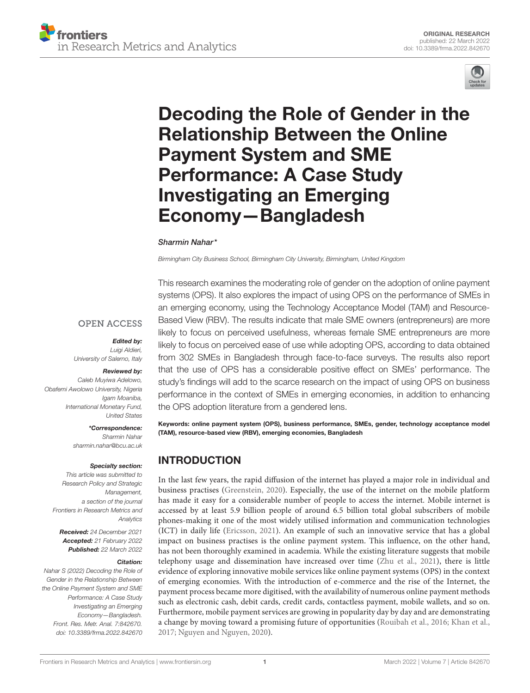



# [Decoding the Role of Gender in the](https://www.frontiersin.org/articles/10.3389/frma.2022.842670/full) Relationship Between the Online Payment System and SME Performance: A Case Study Investigating an Emerging Economy—Bangladesh

### Sharmin Nahar\*

*Birmingham City Business School, Birmingham City University, Birmingham, United Kingdom*

### **OPEN ACCESS**

Edited by:

*Luigi Aldieri, University of Salerno, Italy*

### Reviewed by:

*Caleb Muyiwa Adelowo, Obafemi Awolowo University, Nigeria Igam Moaniba, International Monetary Fund, United States*

### \*Correspondence:

*Sharmin Nahar [sharmin.nahar@bcu.ac.uk](mailto:sharmin.nahar@bcu.ac.uk)*

#### Specialty section:

*This article was submitted to Research Policy and Strategic Management, a section of the journal Frontiers in Research Metrics and Analytics*

Received: *24 December 2021* Accepted: *21 February 2022* Published: *22 March 2022*

#### Citation:

*Nahar S (2022) Decoding the Role of Gender in the Relationship Between the Online Payment System and SME Performance: A Case Study Investigating an Emerging Economy—Bangladesh. Front. Res. Metr. Anal. 7:842670. doi: [10.3389/frma.2022.842670](https://doi.org/10.3389/frma.2022.842670)* This research examines the moderating role of gender on the adoption of online payment systems (OPS). It also explores the impact of using OPS on the performance of SMEs in an emerging economy, using the Technology Acceptance Model (TAM) and Resource-Based View (RBV). The results indicate that male SME owners (entrepreneurs) are more likely to focus on perceived usefulness, whereas female SME entrepreneurs are more likely to focus on perceived ease of use while adopting OPS, according to data obtained from 302 SMEs in Bangladesh through face-to-face surveys. The results also report that the use of OPS has a considerable positive effect on SMEs' performance. The study's findings will add to the scarce research on the impact of using OPS on business performance in the context of SMEs in emerging economies, in addition to enhancing the OPS adoption literature from a gendered lens.

Keywords: online payment system (OPS), business performance, SMEs, gender, technology acceptance model (TAM), resource-based view (RBV), emerging economies, Bangladesh

# INTRODUCTION

In the last few years, the rapid diffusion of the internet has played a major role in individual and business practises [\(Greenstein, 2020\)](#page-9-0). Especially, the use of the internet on the mobile platform has made it easy for a considerable number of people to access the internet. Mobile internet is accessed by at least 5.9 billion people of around 6.5 billion total global subscribers of mobile phones-making it one of the most widely utilised information and communication technologies (ICT) in daily life [\(Ericsson, 2021\)](#page-9-1). An example of such an innovative service that has a global impact on business practises is the online payment system. This influence, on the other hand, has not been thoroughly examined in academia. While the existing literature suggests that mobile telephony usage and dissemination have increased over time [\(Zhu et al., 2021\)](#page-10-0), there is little evidence of exploring innovative mobile services like online payment systems (OPS) in the context of emerging economies. With the introduction of e-commerce and the rise of the Internet, the payment process became more digitised, with the availability of numerous online payment methods such as electronic cash, debit cards, credit cards, contactless payment, mobile wallets, and so on. Furthermore, mobile payment services are growing in popularity day by day and are demonstrating a change by moving toward a promising future of opportunities [\(Rouibah et al., 2016;](#page-10-1) [Khan et al.,](#page-9-2) [2017;](#page-9-2) [Nguyen and Nguyen, 2020\)](#page-10-2).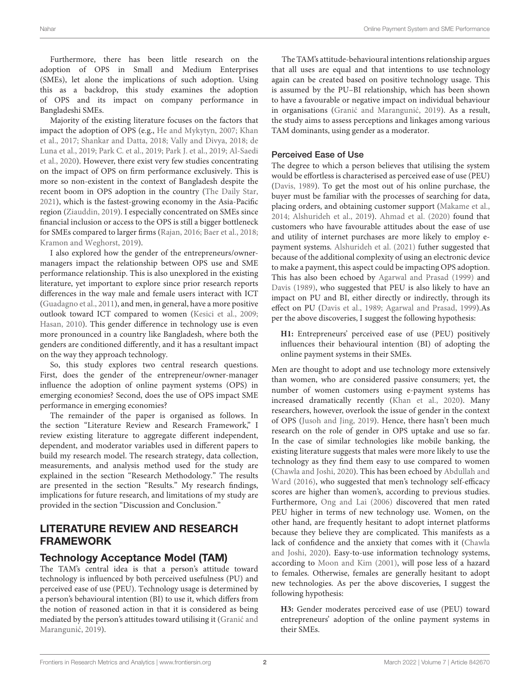Furthermore, there has been little research on the adoption of OPS in Small and Medium Enterprises (SMEs), let alone the implications of such adoption. Using this as a backdrop, this study examines the adoption of OPS and its impact on company performance in Bangladeshi SMEs.

Majority of the existing literature focuses on the factors that impact the adoption of OPS (e.g., [He and Mykytyn, 2007;](#page-9-3) Khan et al., [2017;](#page-9-2) [Shankar and Datta, 2018;](#page-10-3) [Vally and Divya, 2018;](#page-10-4) de Luna et al., [2019;](#page-9-4) [Park C. et al., 2019;](#page-10-5) [Park J. et al., 2019;](#page-10-6) Al-Saedi et al., [2020\)](#page-8-0). However, there exist very few studies concentrating on the impact of OPS on firm performance exclusively. This is more so non-existent in the context of Bangladesh despite the recent boom in OPS adoption in the country [\(The Daily Star,](#page-10-7) [2021\)](#page-10-7), which is the fastest-growing economy in the Asia-Pacific region [\(Ziauddin, 2019\)](#page-10-8). I especially concentrated on SMEs since financial inclusion or access to the OPS is still a bigger bottleneck for SMEs compared to larger firms [\(Rajan, 2016;](#page-10-9) [Baer et al., 2018;](#page-8-1) [Kramon and Weghorst, 2019\)](#page-9-5).

I also explored how the gender of the entrepreneurs/ownermanagers impact the relationship between OPS use and SME performance relationship. This is also unexplored in the existing literature, yet important to explore since prior research reports differences in the way male and female users interact with ICT [\(Guadagno et al., 2011\)](#page-9-6), and men, in general, have a more positive outlook toward ICT compared to women [\(Kesici et al., 2009;](#page-9-7) [Hasan, 2010\)](#page-9-8). This gender difference in technology use is even more pronounced in a country like Bangladesh, where both the genders are conditioned differently, and it has a resultant impact on the way they approach technology.

So, this study explores two central research questions. First, does the gender of the entrepreneur/owner-manager influence the adoption of online payment systems (OPS) in emerging economies? Second, does the use of OPS impact SME performance in emerging economies?

The remainder of the paper is organised as follows. In the section "Literature Review and Research Framework," I review existing literature to aggregate different independent, dependent, and moderator variables used in different papers to build my research model. The research strategy, data collection, measurements, and analysis method used for the study are explained in the section "Research Methodology." The results are presented in the section "Results." My research findings, implications for future research, and limitations of my study are provided in the section "Discussion and Conclusion."

# LITERATURE REVIEW AND RESEARCH FRAMEWORK

### Technology Acceptance Model (TAM)

The TAM's central idea is that a person's attitude toward technology is influenced by both perceived usefulness (PU) and perceived ease of use (PEU). Technology usage is determined by a person's behavioural intention (BI) to use it, which differs from the notion of reasoned action in that it is considered as being mediated by the person's attitudes toward utilising it (Granić and Marangunić, [2019](#page-9-9)).

The TAM's attitude-behavioural intentions relationship argues that all uses are equal and that intentions to use technology again can be created based on positive technology usage. This is assumed by the PU–BI relationship, which has been shown to have a favourable or negative impact on individual behaviour in organisations (Granić and Marangunić, [2019](#page-9-9)). As a result, the study aims to assess perceptions and linkages among various TAM dominants, using gender as a moderator.

### Perceived Ease of Use

The degree to which a person believes that utilising the system would be effortless is characterised as perceived ease of use (PEU) [\(Davis, 1989\)](#page-9-10). To get the most out of his online purchase, the buyer must be familiar with the processes of searching for data, placing orders, and obtaining customer support [\(Makame et al.,](#page-9-11) [2014;](#page-9-11) [Alshurideh et al., 2019\)](#page-8-2). [Ahmad et al. \(2020\)](#page-8-3) found that customers who have favourable attitudes about the ease of use and utility of internet purchases are more likely to employ epayment systems. [Alshurideh et al. \(2021\)](#page-8-4) futher suggested that because of the additional complexity of using an electronic device to make a payment, this aspect could be impacting OPS adoption. This has also been echoed by [Agarwal and Prasad \(1999\)](#page-8-5) and [Davis \(1989\)](#page-9-10), who suggested that PEU is also likely to have an impact on PU and BI, either directly or indirectly, through its effect on PU [\(Davis et al., 1989;](#page-9-12) [Agarwal and Prasad, 1999\)](#page-8-5).As per the above discoveries, I suggest the following hypothesis:

**H1:** Entrepreneurs' perceived ease of use (PEU) positively influences their behavioural intention (BI) of adopting the online payment systems in their SMEs.

Men are thought to adopt and use technology more extensively than women, who are considered passive consumers; yet, the number of women customers using e-payment systems has increased dramatically recently [\(Khan et al., 2020\)](#page-9-13). Many researchers, however, overlook the issue of gender in the context of OPS [\(Jusoh and Jing, 2019\)](#page-9-14). Hence, there hasn't been much research on the role of gender in OPS uptake and use so far. In the case of similar technologies like mobile banking, the existing literature suggests that males were more likely to use the technology as they find them easy to use compared to women [\(Chawla and Joshi, 2020\)](#page-9-15). This has been echoed by Abdullah and Ward [\(2016\)](#page-8-6), who suggested that men's technology self-efficacy scores are higher than women's, according to previous studies. Furthermore, [Ong and Lai \(2006\)](#page-10-10) discovered that men rated PEU higher in terms of new technology use. Women, on the other hand, are frequently hesitant to adopt internet platforms because they believe they are complicated. This manifests as a lack of confidence and the anxiety that comes with it (Chawla and Joshi, [2020\)](#page-9-15). Easy-to-use information technology systems, according to [Moon and Kim \(2001\)](#page-9-16), will pose less of a hazard to females. Otherwise, females are generally hesitant to adopt new technologies. As per the above discoveries, I suggest the following hypothesis:

**H3:** Gender moderates perceived ease of use (PEU) toward entrepreneurs' adoption of the online payment systems in their SMEs.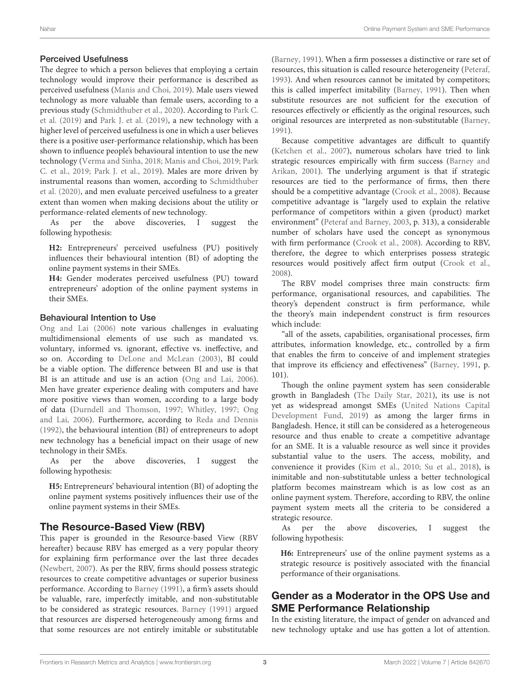### Perceived Usefulness

The degree to which a person believes that employing a certain technology would improve their performance is described as perceived usefulness [\(Manis and Choi, 2019\)](#page-9-17). Male users viewed technology as more valuable than female users, according to a previous study [\(Schmidthuber et al., 2020\)](#page-10-11). According to Park C. et al. [\(2019\)](#page-10-5) and [Park J. et al. \(2019\)](#page-10-6), a new technology with a higher level of perceived usefulness is one in which a user believes there is a positive user-performance relationship, which has been shown to influence people's behavioural intention to use the new technology [\(Verma and Sinha, 2018;](#page-10-12) [Manis and Choi, 2019;](#page-9-17) Park C. et al., [2019;](#page-10-5) [Park J. et al., 2019\)](#page-10-6). Males are more driven by instrumental reasons than women, according to Schmidthuber et al. [\(2020\)](#page-10-11), and men evaluate perceived usefulness to a greater extent than women when making decisions about the utility or performance-related elements of new technology.

As per the above discoveries, I suggest the following hypothesis:

**H2:** Entrepreneurs' perceived usefulness (PU) positively influences their behavioural intention (BI) of adopting the online payment systems in their SMEs.

**H4:** Gender moderates perceived usefulness (PU) toward entrepreneurs' adoption of the online payment systems in their SMEs.

### Behavioural Intention to Use

[Ong and Lai \(2006\)](#page-10-10) note various challenges in evaluating multidimensional elements of use such as mandated vs. voluntary, informed vs. ignorant, effective vs. ineffective, and so on. According to [DeLone and McLean \(2003\)](#page-9-18), BI could be a viable option. The difference between BI and use is that BI is an attitude and use is an action [\(Ong and Lai, 2006\)](#page-10-10). Men have greater experience dealing with computers and have more positive views than women, according to a large body of data [\(Durndell and Thomson, 1997;](#page-9-19) [Whitley, 1997;](#page-10-13) Ong and Lai, [2006\)](#page-10-10). Furthermore, according to [Reda and Dennis](#page-10-14) [\(1992\)](#page-10-14), the behavioural intention (BI) of entrepreneurs to adopt new technology has a beneficial impact on their usage of new technology in their SMEs.

As per the above discoveries, I suggest the following hypothesis:

**H5:** Entrepreneurs' behavioural intention (BI) of adopting the online payment systems positively influences their use of the online payment systems in their SMEs.

### The Resource-Based View (RBV)

This paper is grounded in the Resource-based View (RBV hereafter) because RBV has emerged as a very popular theory for explaining firm performance over the last three decades [\(Newbert, 2007\)](#page-9-20). As per the RBV, firms should possess strategic resources to create competitive advantages or superior business performance. According to [Barney \(1991\)](#page-8-7), a firm's assets should be valuable, rare, imperfectly imitable, and non-substitutable to be considered as strategic resources. [Barney \(1991\)](#page-8-7) argued that resources are dispersed heterogeneously among firms and that some resources are not entirely imitable or substitutable [\(Barney, 1991\)](#page-8-7). When a firm possesses a distinctive or rare set of resources, this situation is called resource heterogeneity [\(Peteraf,](#page-10-15) [1993\)](#page-10-15). And when resources cannot be imitated by competitors; this is called imperfect imitability [\(Barney, 1991\)](#page-8-7). Then when substitute resources are not sufficient for the execution of resources effectively or efficiently as the original resources, such original resources are interpreted as non-substitutable [\(Barney,](#page-8-7) [1991\)](#page-8-7).

Because competitive advantages are difficult to quantify [\(Ketchen et al., 2007\)](#page-9-21), numerous scholars have tried to link strategic resources empirically with firm success (Barney and Arikan, [2001\)](#page-8-8). The underlying argument is that if strategic resources are tied to the performance of firms, then there should be a competitive advantage [\(Crook et al., 2008\)](#page-9-22). Because competitive advantage is "largely used to explain the relative performance of competitors within a given (product) market environment" [\(Peteraf and Barney, 2003,](#page-10-16) p. 313), a considerable number of scholars have used the concept as synonymous with firm performance [\(Crook et al., 2008\)](#page-9-22). According to RBV, therefore, the degree to which enterprises possess strategic resources would positively affect firm output [\(Crook et al.,](#page-9-22) [2008\)](#page-9-22).

The RBV model comprises three main constructs: firm performance, organisational resources, and capabilities. The theory's dependent construct is firm performance, while the theory's main independent construct is firm resources which include:

"all of the assets, capabilities, organisational processes, firm attributes, information knowledge, etc., controlled by a firm that enables the firm to conceive of and implement strategies that improve its efficiency and effectiveness" [\(Barney, 1991,](#page-8-7) p. 101).

Though the online payment system has seen considerable growth in Bangladesh [\(The Daily Star, 2021\)](#page-10-7), its use is not yet as widespread amongst SMEs (United Nations Capital Development Fund, [2019\)](#page-10-17) as among the larger firms in Bangladesh. Hence, it still can be considered as a heterogeneous resource and thus enable to create a competitive advantage for an SME. It is a valuable resource as well since it provides substantial value to the users. The access, mobility, and convenience it provides [\(Kim et al., 2010;](#page-9-23) [Su et al., 2018\)](#page-10-18), is inimitable and non-substitutable unless a better technological platform becomes mainstream which is as low cost as an online payment system. Therefore, according to RBV, the online payment system meets all the criteria to be considered a strategic resource.

As per the above discoveries, I suggest the following hypothesis:

**H6:** Entrepreneurs' use of the online payment systems as a strategic resource is positively associated with the financial performance of their organisations.

## Gender as a Moderator in the OPS Use and SME Performance Relationship

In the existing literature, the impact of gender on advanced and new technology uptake and use has gotten a lot of attention.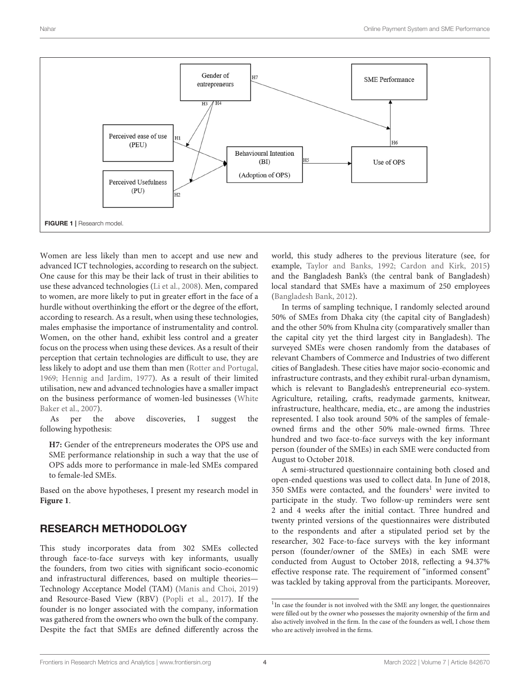

<span id="page-3-0"></span>Women are less likely than men to accept and use new and advanced ICT technologies, according to research on the subject. One cause for this may be their lack of trust in their abilities to use these advanced technologies [\(Li et al., 2008\)](#page-9-24). Men, compared to women, are more likely to put in greater effort in the face of a hurdle without overthinking the effort or the degree of the effort, according to research. As a result, when using these technologies, males emphasise the importance of instrumentality and control. Women, on the other hand, exhibit less control and a greater focus on the process when using these devices. As a result of their perception that certain technologies are difficult to use, they are less likely to adopt and use them than men [\(Rotter and Portugal,](#page-10-19) [1969;](#page-10-19) [Hennig and Jardim, 1977\)](#page-9-25). As a result of their limited utilisation, new and advanced technologies have a smaller impact on the business performance of women-led businesses (White Baker et al., [2007\)](#page-10-20).

As per the above discoveries, I suggest the following hypothesis:

**H7:** Gender of the entrepreneurs moderates the OPS use and SME performance relationship in such a way that the use of OPS adds more to performance in male-led SMEs compared to female-led SMEs.

Based on the above hypotheses, I present my research model in **[Figure 1](#page-3-0)**.

# RESEARCH METHODOLOGY

This study incorporates data from 302 SMEs collected through face-to-face surveys with key informants, usually the founders, from two cities with significant socio-economic and infrastructural differences, based on multiple theories— Technology Acceptance Model (TAM) [\(Manis and Choi, 2019\)](#page-9-17) and Resource-Based View (RBV) [\(Popli et al., 2017\)](#page-10-21). If the founder is no longer associated with the company, information was gathered from the owners who own the bulk of the company. Despite the fact that SMEs are defined differently across the world, this study adheres to the previous literature (see, for example, [Taylor and Banks, 1992;](#page-10-22) [Cardon and Kirk, 2015\)](#page-9-26) and the Bangladesh Bank's (the central bank of Bangladesh) local standard that SMEs have a maximum of 250 employees [\(Bangladesh Bank, 2012\)](#page-8-9).

In terms of sampling technique, I randomly selected around 50% of SMEs from Dhaka city (the capital city of Bangladesh) and the other 50% from Khulna city (comparatively smaller than the capital city yet the third largest city in Bangladesh). The surveyed SMEs were chosen randomly from the databases of relevant Chambers of Commerce and Industries of two different cities of Bangladesh. These cities have major socio-economic and infrastructure contrasts, and they exhibit rural-urban dynamism, which is relevant to Bangladesh's entrepreneurial eco-system. Agriculture, retailing, crafts, readymade garments, knitwear, infrastructure, healthcare, media, etc., are among the industries represented. I also took around 50% of the samples of femaleowned firms and the other 50% male-owned firms. Three hundred and two face-to-face surveys with the key informant person (founder of the SMEs) in each SME were conducted from August to October 2018.

A semi-structured questionnaire containing both closed and open-ended questions was used to collect data. In June of 2018, 350 SMEs were contacted, and the founders<sup>[1](#page-3-1)</sup> were invited to participate in the study. Two follow-up reminders were sent 2 and 4 weeks after the initial contact. Three hundred and twenty printed versions of the questionnaires were distributed to the respondents and after a stipulated period set by the researcher, 302 Face-to-face surveys with the key informant person (founder/owner of the SMEs) in each SME were conducted from August to October 2018, reflecting a 94.37% effective response rate. The requirement of "informed consent" was tackled by taking approval from the participants. Moreover,

<span id="page-3-1"></span><sup>&</sup>lt;sup>1</sup>In case the founder is not involved with the SME any longer, the questionnaires were filled out by the owner who possesses the majority ownership of the firm and also actively involved in the firm. In the case of the founders as well, I chose them who are actively involved in the firms.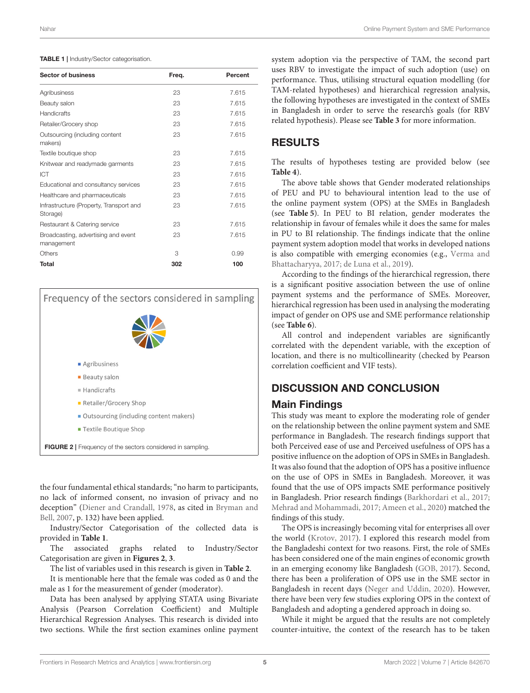#### <span id="page-4-0"></span>TABLE 1 | Industry/Sector categorisation.

| <b>Sector of business</b>                           | Freq. | Percent |
|-----------------------------------------------------|-------|---------|
| Agribusiness                                        | 23    | 7.615   |
| Beauty salon                                        | 23    | 7.615   |
| Handicrafts                                         | 23    | 7.615   |
| Retailer/Grocery shop                               | 23    | 7.615   |
| Outsourcing (including content<br>makers)           | 23    | 7.615   |
| Textile boutique shop                               | 23    | 7.615   |
| Knitwear and readymade garments                     | 23    | 7.615   |
| ICT                                                 | 23    | 7.615   |
| Educational and consultancy services                | 23    | 7.615   |
| Healthcare and pharmaceuticals                      | 23    | 7.615   |
| Infrastructure (Property, Transport and<br>Storage) | 23    | 7.615   |
| Restaurant & Catering service                       | 23    | 7.615   |
| Broadcasting, advertising and event<br>management   | 23    | 7.615   |
| Others                                              | 3     | 0.99    |
| <b>Total</b>                                        | 302   | 100     |

Frequency of the sectors considered in sampling Agribusiness **Beauty salon** Handicrafts Retailer/Grocery Shop Outsourcing (including content makers) Textile Boutique Shop FIGURE 2 | Frequency of the sectors considered in sampling.

<span id="page-4-1"></span>the four fundamental ethical standards; "no harm to participants, no lack of informed consent, no invasion of privacy and no deception" [\(Diener and Crandall, 1978,](#page-9-27) as cited in Bryman and Bell, [2007,](#page-9-28) p. 132) have been applied.

Industry/Sector Categorisation of the collected data is provided in **[Table 1](#page-4-0)**.

The associated graphs related to Industry/Sector Categorisation are given in **[Figures 2](#page-4-1)**, **[3](#page-5-0)**.

The list of variables used in this research is given in **[Table 2](#page-5-1)**.

It is mentionable here that the female was coded as 0 and the male as 1 for the measurement of gender (moderator).

Data has been analysed by applying STATA using Bivariate Analysis (Pearson Correlation Coefficient) and Multiple Hierarchical Regression Analyses. This research is divided into two sections. While the first section examines online payment

system adoption via the perspective of TAM, the second part uses RBV to investigate the impact of such adoption (use) on performance. Thus, utilising structural equation modelling (for TAM-related hypotheses) and hierarchical regression analysis, the following hypotheses are investigated in the context of SMEs in Bangladesh in order to serve the research's goals (for RBV related hypothesis). Please see **[Table 3](#page-5-2)** for more information.

### RESULTS

The results of hypotheses testing are provided below (see **[Table 4](#page-6-0)**).

The above table shows that Gender moderated relationships of PEU and PU to behavioural intention lead to the use of the online payment system (OPS) at the SMEs in Bangladesh (see **[Table 5](#page-6-1)**). In PEU to BI relation, gender moderates the relationship in favour of females while it does the same for males in PU to BI relationship. The findings indicate that the online payment system adoption model that works in developed nations is also compatible with emerging economies (e.g., Verma and Bhattacharyya, [2017;](#page-10-23) [de Luna et al., 2019\)](#page-9-4).

According to the findings of the hierarchical regression, there is a significant positive association between the use of online payment systems and the performance of SMEs. Moreover, hierarchical regression has been used in analysing the moderating impact of gender on OPS use and SME performance relationship (see **[Table 6](#page-7-0)**).

All control and independent variables are significantly correlated with the dependent variable, with the exception of location, and there is no multicollinearity (checked by Pearson correlation coefficient and VIF tests).

### DISCUSSION AND CONCLUSION

### Main Findings

This study was meant to explore the moderating role of gender on the relationship between the online payment system and SME performance in Bangladesh. The research findings support that both Perceived ease of use and Perceived usefulness of OPS has a positive influence on the adoption of OPS in SMEs in Bangladesh. It was also found that the adoption of OPS has a positive influence on the use of OPS in SMEs in Bangladesh. Moreover, it was found that the use of OPS impacts SME performance positively in Bangladesh. Prior research findings [\(Barkhordari et al., 2017;](#page-8-10) [Mehrad and Mohammadi, 2017;](#page-9-29) [Ameen et al., 2020\)](#page-8-11) matched the findings of this study.

The OPS is increasingly becoming vital for enterprises all over the world [\(Krotov, 2017\)](#page-9-30). I explored this research model from the Bangladeshi context for two reasons. First, the role of SMEs has been considered one of the main engines of economic growth in an emerging economy like Bangladesh [\(GOB, 2017\)](#page-9-31). Second, there has been a proliferation of OPS use in the SME sector in Bangladesh in recent days [\(Neger and Uddin, 2020\)](#page-9-32). However, there have been very few studies exploring OPS in the context of Bangladesh and adopting a gendered approach in doing so.

While it might be argued that the results are not completely counter-intuitive, the context of the research has to be taken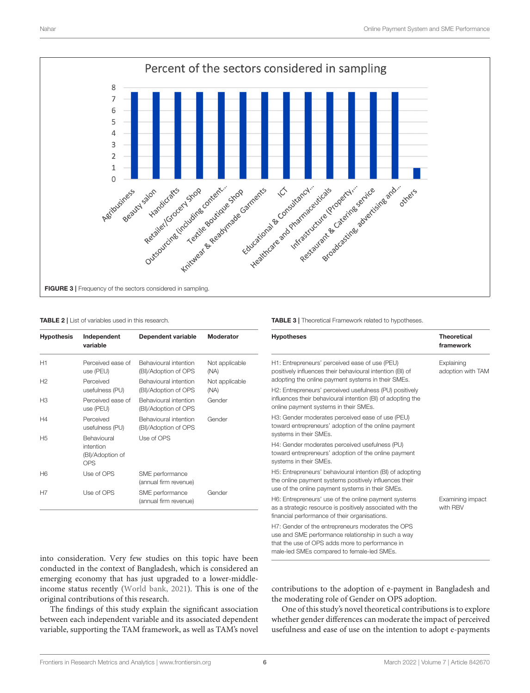

#### <span id="page-5-1"></span><span id="page-5-0"></span>TABLE 2 | List of variables used in this research.

| <b>Hypothesis</b> | Independent<br>variable                                    | Dependent variable                            | Moderator              |
|-------------------|------------------------------------------------------------|-----------------------------------------------|------------------------|
| H1                | Perceived ease of<br>use (PEU)                             | Behavioural intention<br>(BI)/Adoption of OPS | Not applicable<br>(NA) |
| H <sub>2</sub>    | Perceived<br>usefulness (PU)                               | Behavioural intention<br>(BI)/Adoption of OPS | Not applicable<br>(NA) |
| H3                | Perceived ease of<br>use (PEU)                             | Behavioural intention<br>(BI)/Adoption of OPS | Gender                 |
| H4                | Perceived<br>usefulness (PU)                               | Behavioural intention<br>(BI)/Adoption of OPS | Gender                 |
| H <sub>5</sub>    | <b>Behavioural</b><br>intention<br>(BI)/Adoption of<br>OPS | Use of OPS                                    |                        |
| H6                | Use of OPS                                                 | SME performance<br>(annual firm revenue)      |                        |
| H7                | Use of OPS                                                 | SME performance<br>(annual firm revenue)      | Gender                 |

<span id="page-5-2"></span>TABLE 3 | Theoretical Framework related to hypotheses.

| <b>Hypotheses</b>                                                                                                                                                                                        | <b>Theoretical</b><br>framework |
|----------------------------------------------------------------------------------------------------------------------------------------------------------------------------------------------------------|---------------------------------|
| H1: Entrepreneurs' perceived ease of use (PEU)<br>positively influences their behavioural intention (BI) of<br>adopting the online payment systems in their SMEs.                                        | Explaining<br>adoption with TAM |
| H2: Entrepreneurs' perceived usefulness (PU) positively<br>influences their behavioural intention (BI) of adopting the<br>online payment systems in their SMEs.                                          |                                 |
| H3: Gender moderates perceived ease of use (PEU)<br>toward entrepreneurs' adoption of the online payment<br>systems in their SMEs.                                                                       |                                 |
| H4: Gender moderates perceived usefulness (PU)<br>toward entrepreneurs' adoption of the online payment<br>systems in their SMEs.                                                                         |                                 |
| H5: Entrepreneurs' behavioural intention (BI) of adopting<br>the online payment systems positively influences their<br>use of the online payment systems in their SMEs.                                  |                                 |
| H6: Entrepreneurs' use of the online payment systems<br>as a strategic resource is positively associated with the<br>financial performance of their organisations.                                       | Examining impact<br>with RBV    |
| H7: Gender of the entrepreneurs moderates the OPS<br>use and SME performance relationship in such a way<br>that the use of OPS adds more to performance in<br>male-led SMEs compared to female-led SMEs. |                                 |

into consideration. Very few studies on this topic have been conducted in the context of Bangladesh, which is considered an emerging economy that has just upgraded to a lower-middleincome status recently [\(World bank, 2021\)](#page-10-24). This is one of the original contributions of this research.

The findings of this study explain the significant association between each independent variable and its associated dependent variable, supporting the TAM framework, as well as TAM's novel

contributions to the adoption of e-payment in Bangladesh and the moderating role of Gender on OPS adoption.

One of this study's novel theoretical contributions is to explore whether gender differences can moderate the impact of perceived usefulness and ease of use on the intention to adopt e-payments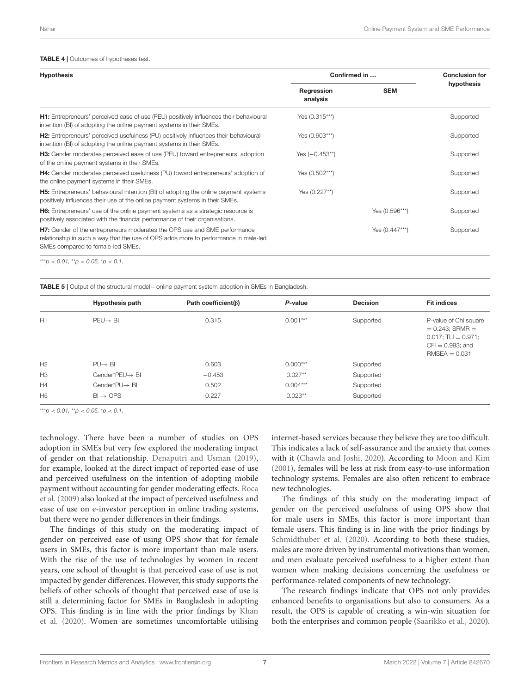#### <span id="page-6-0"></span>TABLE 4 | Outcomes of hypotheses test.

| <b>Hypothesis</b>                                                                                                                                                                                            | Confirmed in           |                | <b>Conclusion for</b> |
|--------------------------------------------------------------------------------------------------------------------------------------------------------------------------------------------------------------|------------------------|----------------|-----------------------|
|                                                                                                                                                                                                              | Regression<br>analysis | <b>SEM</b>     | hypothesis            |
| <b>H1:</b> Entrepreneurs' perceived ease of use (PEU) positively influences their behavioural<br>intention (BI) of adopting the online payment systems in their SMEs.                                        | Yes (0.315***)         |                | Supported             |
| H2: Entrepreneurs' perceived usefulness (PU) positively influences their behavioural<br>intention (BI) of adopting the online payment systems in their SMEs.                                                 | Yes (0.603***)         |                | Supported             |
| <b>H3:</b> Gender moderates perceived ease of use (PEU) toward entrepreneurs' adoption<br>of the online payment systems in their SMEs.                                                                       | Yes $(-0.453**)$       |                | Supported             |
| <b>H4:</b> Gender moderates perceived usefulness (PU) toward entrepreneurs' adoption of<br>the online payment systems in their SMEs.                                                                         | Yes (0.502***)         |                | Supported             |
| <b>H5:</b> Entrepreneurs' behavioural intention (BI) of adopting the online payment systems<br>positively influences their use of the online payment systems in their SMEs.                                  | Yes (0.227**)          |                | Supported             |
| <b>H6:</b> Entrepreneurs' use of the online payment systems as a strategic resource is<br>positively associated with the financial performance of their organisations.                                       |                        | Yes (0.596***) | Supported             |
| <b>H7:</b> Gender of the entrepreneurs moderates the OPS use and SME performance<br>relationship in such a way that the use of OPS adds more to performance in male-led<br>SMEs compared to female-led SMEs. |                        | Yes (0.447***) | Supported             |

 $***p$  < 0.01, \*\*p < 0.05, \*p < 0.1.

<span id="page-6-1"></span>TABLE 5 | Output of the structural model—online payment system adoption in SMEs in Bangladesh.

|                | <b>Hypothesis path</b> | Path coefficient( $\beta$ ) | P-value    | <b>Decision</b> | <b>Fit indices</b>                                                                                                |
|----------------|------------------------|-----------------------------|------------|-----------------|-------------------------------------------------------------------------------------------------------------------|
| H1             | $PEU \rightarrow BI$   | 0.315                       | $0.001***$ | Supported       | P-value of Chi square<br>$= 0.243$ ; SRMR $=$<br>$0.017$ : TLI = 0.971:<br>$CFI = 0.993$ ; and<br>$RMSEA = 0.031$ |
| H2             | $PU \rightarrow Bl$    | 0.603                       | $0.000***$ | Supported       |                                                                                                                   |
| H <sub>3</sub> | Gender*PEU→ BI         | $-0.453$                    | $0.027**$  | Supported       |                                                                                                                   |
| H4             | Gender*PU→ BI          | 0.502                       | $0.004***$ | Supported       |                                                                                                                   |
| H <sub>5</sub> | $BI \rightarrow OPS$   | 0.227                       | $0.023**$  | Supported       |                                                                                                                   |

 $***p$  < 0.01, \*\*p < 0.05, \*p < 0.1.

technology. There have been a number of studies on OPS adoption in SMEs but very few explored the moderating impact of gender on that relationship. [Denaputri and Usman \(2019\)](#page-9-33), for example, looked at the direct impact of reported ease of use and perceived usefulness on the intention of adopting mobile payment without accounting for gender moderating effects. Roca et al. [\(2009\)](#page-10-25) also looked at the impact of perceived usefulness and ease of use on e-investor perception in online trading systems, but there were no gender differences in their findings.

The findings of this study on the moderating impact of gender on perceived ease of using OPS show that for female users in SMEs, this factor is more important than male users. With the rise of the use of technologies by women in recent years, one school of thought is that perceived ease of use is not impacted by gender differences. However, this study supports the beliefs of other schools of thought that perceived ease of use is still a determining factor for SMEs in Bangladesh in adopting OPS. This finding is in line with the prior findings by Khan et al. [\(2020\)](#page-9-13). Women are sometimes uncomfortable utilising internet-based services because they believe they are too difficult. This indicates a lack of self-assurance and the anxiety that comes with it [\(Chawla and Joshi, 2020\)](#page-9-15). According to [Moon and Kim](#page-9-16) [\(2001\)](#page-9-16), females will be less at risk from easy-to-use information technology systems. Females are also often reticent to embrace new technologies.

The findings of this study on the moderating impact of gender on the perceived usefulness of using OPS show that for male users in SMEs, this factor is more important than female users. This finding is in line with the prior findings by [Schmidthuber et al. \(2020\)](#page-10-11). According to both these studies, males are more driven by instrumental motivations than women, and men evaluate perceived usefulness to a higher extent than women when making decisions concerning the usefulness or performance-related components of new technology.

The research findings indicate that OPS not only provides enhanced benefits to organisations but also to consumers. As a result, the OPS is capable of creating a win-win situation for both the enterprises and common people [\(Saarikko et al., 2020\)](#page-10-26).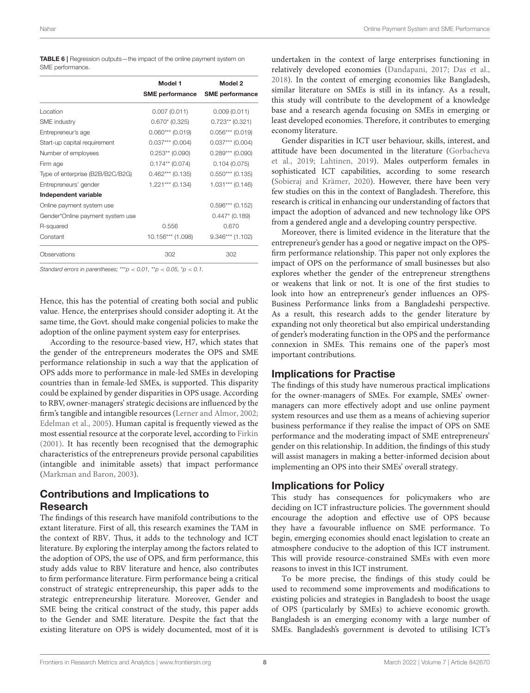<span id="page-7-0"></span>TABLE 6 | Regression outputs—the impact of the online payment system on SME performance.

|                                  | Model 1                | Model 2                |
|----------------------------------|------------------------|------------------------|
|                                  | <b>SME performance</b> | <b>SME</b> performance |
| Location                         | 0.007(0.011)           | 0.009(0.011)           |
| <b>SME</b> industry              | $0.670*(0.325)$        | $0.723**$ (0.321)      |
| Entrepreneur's age               | $0.060***$ (0.019)     | $0.056***$ (0.019)     |
| Start-up capital requirement     | $0.037***$ (0.004)     | $0.037***$ (0.004)     |
| Number of employees              | $0.253**$ (0.090)      | $0.289***$ (0.090)     |
| Firm age                         | $0.174**$ (0.074)      | 0.104(0.075)           |
| Type of enterprise (B2B/B2C/B2G) | $0.462***$ (0.135)     | $0.550***$ (0.135)     |
| Entrepreneurs' gender            | $1.221***$ (0.134)     | $1.031***$ (0.146)     |
| Independent variable             |                        |                        |
| Online payment system use        |                        | $0.596***$ (0.152)     |
| Gender*Online payment system use |                        | $0.447*$ (0.189)       |
| R-squared                        | 0.556                  | 0.670                  |
| Constant                         | 10.156*** (1.098)      | $9.346***$ (1.102)     |
| Observations                     | 302                    | 302                    |

*Standard errors in parentheses;* \*\*\**p* < *0.01,* \*\**p* < *0.05,* \**p* < *0.1.*

Hence, this has the potential of creating both social and public value. Hence, the enterprises should consider adopting it. At the same time, the Govt. should make congenial policies to make the adoption of the online payment system easy for enterprises.

According to the resource-based view, H7, which states that the gender of the entrepreneurs moderates the OPS and SME performance relationship in such a way that the application of OPS adds more to performance in male-led SMEs in developing countries than in female-led SMEs, is supported. This disparity could be explained by gender disparities in OPS usage. According to RBV, owner-managers' strategic decisions are influenced by the firm's tangible and intangible resources [\(Lerner and Almor, 2002;](#page-9-34) [Edelman et al., 2005\)](#page-9-35). Human capital is frequently viewed as the most essential resource at the corporate level, according to [Firkin](#page-9-36) [\(2001\)](#page-9-36). It has recently been recognised that the demographic characteristics of the entrepreneurs provide personal capabilities (intangible and inimitable assets) that impact performance [\(Markman and Baron, 2003\)](#page-9-37).

# Contributions and Implications to Research

The findings of this research have manifold contributions to the extant literature. First of all, this research examines the TAM in the context of RBV. Thus, it adds to the technology and ICT literature. By exploring the interplay among the factors related to the adoption of OPS, the use of OPS, and firm performance, this study adds value to RBV literature and hence, also contributes to firm performance literature. Firm performance being a critical construct of strategic entrepreneurship, this paper adds to the strategic entrepreneurship literature. Moreover, Gender and SME being the critical construct of the study, this paper adds to the Gender and SME literature. Despite the fact that the existing literature on OPS is widely documented, most of it is

undertaken in the context of large enterprises functioning in relatively developed economies [\(Dandapani, 2017;](#page-9-38) [Das et al.,](#page-9-39) [2018\)](#page-9-39). In the context of emerging economies like Bangladesh, similar literature on SMEs is still in its infancy. As a result, this study will contribute to the development of a knowledge base and a research agenda focusing on SMEs in emerging or least developed economies. Therefore, it contributes to emerging economy literature.

Gender disparities in ICT user behaviour, skills, interest, and attitude have been documented in the literature (Gorbacheva et al., [2019;](#page-9-40) [Lahtinen, 2019\)](#page-9-41). Males outperform females in sophisticated ICT capabilities, according to some research [\(Sobieraj and Krämer, 2020\)](#page-10-27). However, there have been very few studies on this in the context of Bangladesh. Therefore, this research is critical in enhancing our understanding of factors that impact the adoption of advanced and new technology like OPS from a gendered angle and a developing country perspective.

Moreover, there is limited evidence in the literature that the entrepreneur's gender has a good or negative impact on the OPSfirm performance relationship. This paper not only explores the impact of OPS on the performance of small businesses but also explores whether the gender of the entrepreneur strengthens or weakens that link or not. It is one of the first studies to look into how an entrepreneur's gender influences an OPS-Business Performance links from a Bangladeshi perspective. As a result, this research adds to the gender literature by expanding not only theoretical but also empirical understanding of gender's moderating function in the OPS and the performance connexion in SMEs. This remains one of the paper's most important contributions.

### Implications for Practise

The findings of this study have numerous practical implications for the owner-managers of SMEs. For example, SMEs' ownermanagers can more effectively adopt and use online payment system resources and use them as a means of achieving superior business performance if they realise the impact of OPS on SME performance and the moderating impact of SME entrepreneurs' gender on this relationship. In addition, the findings of this study will assist managers in making a better-informed decision about implementing an OPS into their SMEs' overall strategy.

### Implications for Policy

This study has consequences for policymakers who are deciding on ICT infrastructure policies. The government should encourage the adoption and effective use of OPS because they have a favourable influence on SME performance. To begin, emerging economies should enact legislation to create an atmosphere conducive to the adoption of this ICT instrument. This will provide resource-constrained SMEs with even more reasons to invest in this ICT instrument.

To be more precise, the findings of this study could be used to recommend some improvements and modifications to existing policies and strategies in Bangladesh to boost the usage of OPS (particularly by SMEs) to achieve economic growth. Bangladesh is an emerging economy with a large number of SMEs. Bangladesh's government is devoted to utilising ICT's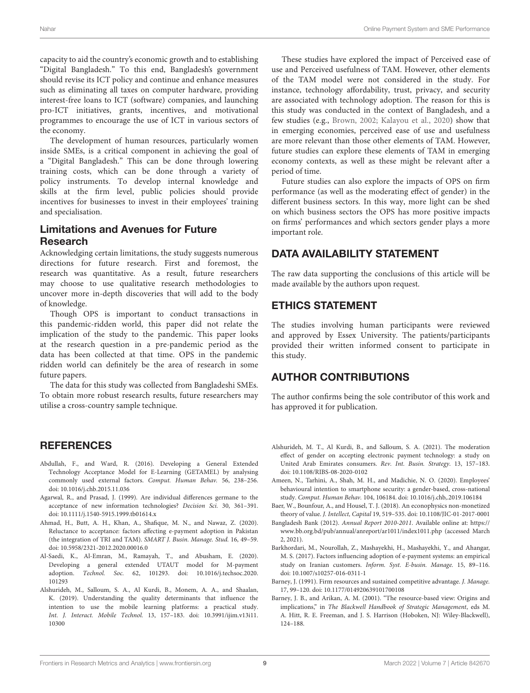capacity to aid the country's economic growth and to establishing "Digital Bangladesh." To this end, Bangladesh's government should revise its ICT policy and continue and enhance measures such as eliminating all taxes on computer hardware, providing interest-free loans to ICT (software) companies, and launching pro-ICT initiatives, grants, incentives, and motivational programmes to encourage the use of ICT in various sectors of the economy.

The development of human resources, particularly women inside SMEs, is a critical component in achieving the goal of a "Digital Bangladesh." This can be done through lowering training costs, which can be done through a variety of policy instruments. To develop internal knowledge and skills at the firm level, public policies should provide incentives for businesses to invest in their employees' training and specialisation.

# Limitations and Avenues for Future Research

Acknowledging certain limitations, the study suggests numerous directions for future research. First and foremost, the research was quantitative. As a result, future researchers may choose to use qualitative research methodologies to uncover more in-depth discoveries that will add to the body of knowledge.

Though OPS is important to conduct transactions in this pandemic-ridden world, this paper did not relate the implication of the study to the pandemic. This paper looks at the research question in a pre-pandemic period as the data has been collected at that time. OPS in the pandemic ridden world can definitely be the area of research in some future papers.

The data for this study was collected from Bangladeshi SMEs. To obtain more robust research results, future researchers may utilise a cross-country sample technique.

# **REFERENCES**

- <span id="page-8-6"></span>Abdullah, F., and Ward, R. (2016). Developing a General Extended Technology Acceptance Model for E-Learning (GETAMEL) by analysing commonly used external factors. Comput. Human Behav. 56, 238–256. doi: [10.1016/j.chb.2015.11.036](https://doi.org/10.1016/j.chb.2015.11.036)
- <span id="page-8-5"></span>Agarwal, R., and Prasad, J. (1999). Are individual differences germane to the acceptance of new information technologies? Decision Sci. 30, 361–391. doi: [10.1111/j.1540-5915.1999.tb01614.x](https://doi.org/10.1111/j.1540-5915.1999.tb01614.x)
- <span id="page-8-3"></span>Ahmad, H., Butt, A. H., Khan, A., Shafique, M. N., and Nawaz, Z. (2020). Reluctance to acceptance: factors affecting e-payment adoption in Pakistan (the integration of TRI and TAM). SMART J. Busin. Manage. Stud. 16, 49–59. doi: [10.5958/2321-2012.2020.00016.0](https://doi.org/10.5958/2321-2012.2020.00016.0)
- <span id="page-8-0"></span>Al-Saedi, K., Al-Emran, M., Ramayah, T., and Abusham, E. (2020). Developing a general extended UTAUT model for M-payment adoption. Technol. Soc. [62, 101293. doi: 10.1016/j.techsoc.2020.](https://doi.org/10.1016/j.techsoc.2020.101293) 101293
- <span id="page-8-2"></span>Alshurideh, M., Salloum, S. A., Al Kurdi, B., Monem, A. A., and Shaalan, K. (2019). Understanding the quality determinants that influence the intention to use the mobile learning platforms: a practical study. Int. J. Interact. Mobile Technol. [13, 157–183. doi: 10.3991/ijim.v13i11.](https://doi.org/10.3991/ijim.v13i11.10300) 10300

These studies have explored the impact of Perceived ease of use and Perceived usefulness of TAM. However, other elements of the TAM model were not considered in the study. For instance, technology affordability, trust, privacy, and security are associated with technology adoption. The reason for this is this study was conducted in the context of Bangladesh, and a few studies (e.g., [Brown, 2002;](#page-9-42) [Kalayou et al., 2020\)](#page-9-43) show that in emerging economies, perceived ease of use and usefulness are more relevant than those other elements of TAM. However, future studies can explore these elements of TAM in emerging economy contexts, as well as these might be relevant after a period of time.

Future studies can also explore the impacts of OPS on firm performance (as well as the moderating effect of gender) in the different business sectors. In this way, more light can be shed on which business sectors the OPS has more positive impacts on firms' performances and which sectors gender plays a more important role.

# DATA AVAILABILITY STATEMENT

The raw data supporting the conclusions of this article will be made available by the authors upon request.

## ETHICS STATEMENT

The studies involving human participants were reviewed and approved by Essex University. The patients/participants provided their written informed consent to participate in this study.

# AUTHOR CONTRIBUTIONS

The author confirms being the sole contributor of this work and has approved it for publication.

- <span id="page-8-4"></span>Alshurideh, M. T., Al Kurdi, B., and Salloum, S. A. (2021). The moderation effect of gender on accepting electronic payment technology: a study on United Arab Emirates consumers. Rev. Int. Busin. Strategy. 13, 157–183. doi: [10.1108/RIBS-08-2020-0102](https://doi.org/10.1108/RIBS-08-2020-0102)
- <span id="page-8-11"></span>Ameen, N., Tarhini, A., Shah, M. H., and Madichie, N. O. (2020). Employees' behavioural intention to smartphone security: a gender-based, cross-national study. Comput. Human Behav. 104, 106184. doi: [10.1016/j.chb,.2019.106184](https://doi.org/10.1016/j.chb,.2019.106184)
- <span id="page-8-1"></span>Baer, W., Bounfour, A., and Housel, T. J. (2018). An econophysics non-monetized theory of value. J. Intellect, Capital 19, 519–535. doi: [10.1108/JIC-01-2017-0001](https://doi.org/10.1108/JIC-01-2017-0001)
- <span id="page-8-9"></span>Bangladesh Bank (2012). Annual Report 2010-2011. Available online at: [https://](https://www.bb.org.bd/pub/annual/anreport/ar1011/index1011.php) [www.bb.org.bd/pub/annual/anreport/ar1011/index1011.php](https://www.bb.org.bd/pub/annual/anreport/ar1011/index1011.php) (accessed March 2, 2021).
- <span id="page-8-10"></span>Barkhordari, M., Nourollah, Z., Mashayekhi, H., Mashayekhi, Y., and Ahangar, M. S. (2017). Factors influencing adoption of e-payment systems: an empirical study on Iranian customers. Inform. Syst. E-busin. Manage. 15, 89–116. doi: [10.1007/s10257-016-0311-1](https://doi.org/10.1007/s10257-016-0311-1)
- <span id="page-8-7"></span>Barney, J. (1991). Firm resources and sustained competitive advantage. J. Manage. 17, 99–120. doi: [10.1177/014920639101700108](https://doi.org/10.1177/014920639101700108)
- <span id="page-8-8"></span>Barney, J. B., and Arikan, A. M. (2001). "The resource-based view: Origins and implications," in The Blackwell Handbook of Strategic Management, eds M. A. Hitt, R. E. Freeman, and J. S. Harrison (Hoboken, NJ: Wiley-Blackwell), 124–188.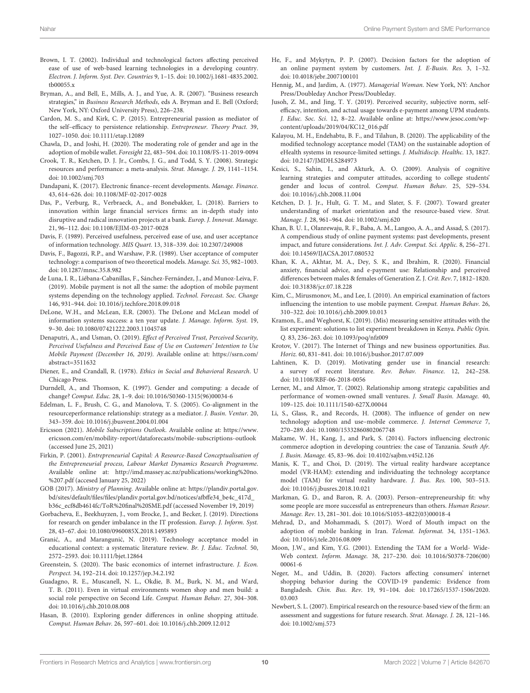- <span id="page-9-42"></span>Brown, I. T. (2002). Individual and technological factors affecting perceived ease of use of web-based learning technologies in a developing country. [Electron. J. Inform. Syst. Dev. Countries](https://doi.org/10.1002/j.1681-4835.2002.tb00055.x) 9, 1–15. doi: 10.1002/j.1681-4835.2002. tb00055.x
- <span id="page-9-28"></span>Bryman, A., and Bell, E., Mills, A. J., and Yue, A. R. (2007). "Business research strategies," in Business Research Methods, eds A. Bryman and E. Bell (Oxford; New York, NY: Oxford University Press), 226–238.
- <span id="page-9-26"></span>Cardon, M. S., and Kirk, C. P. (2015). Entrepreneurial passion as mediator of the self–efficacy to persistence relationship. Entrepreneur. Theory Pract. 39, 1027–1050. doi: [10.1111/etap.12089](https://doi.org/10.1111/etap.12089)
- <span id="page-9-15"></span>Chawla, D., and Joshi, H. (2020). The moderating role of gender and age in the adoption of mobile wallet. Foresight 22, 483–504. doi: [10.1108/FS-11-2019-0094](https://doi.org/10.1108/FS-11-2019-0094)
- <span id="page-9-22"></span>Crook, T. R., Ketchen, D. J. Jr., Combs, J. G., and Todd, S. Y. (2008). Strategic resources and performance: a meta-analysis. Strat. Manage. J. 29, 1141–1154. doi: [10.1002/smj.703](https://doi.org/10.1002/smj.703)
- <span id="page-9-38"></span>Dandapani, K. (2017). Electronic finance–recent developments. Manage. Finance. 43, 614–626. doi: [10.1108/MF-02-2017-0028](https://doi.org/10.1108/MF-02-2017-0028)
- <span id="page-9-39"></span>Das, P., Verburg, R., Verbraeck, A., and Bonebakker, L. (2018). Barriers to innovation within large financial services firms: an in-depth study into disruptive and radical innovation projects at a bank. Europ. J. Innovat. Manage. 21, 96–112. doi: [10.1108/EJIM-03-2017-0028](https://doi.org/10.1108/EJIM-03-2017-0028)
- <span id="page-9-10"></span>Davis, F. (1989). Perceived usefulness, perceived ease of use, and user acceptance of information technology. MIS Quart. 13, 318–339. doi: [10.2307/249008](https://doi.org/10.2307/249008)
- <span id="page-9-12"></span>Davis, F., Bagozzi, R.P., and Warshaw, P.R. (1989). User acceptance of computer technology: a comparison of two theoretical models. Manage. Sci. 35, 982–1003. doi: [10.1287/mnsc.35.8.982](https://doi.org/10.1287/mnsc.35.8.982)
- <span id="page-9-4"></span>de Luna, I. R., Liébana-Cabanillas, F., Sánchez-Fernández, J., and Munoz-Leiva, F. (2019). Mobile payment is not all the same: the adoption of mobile payment systems depending on the technology applied. Technol. Forecast. Soc. Change 146, 931–944. doi: [10.1016/j.techfore.2018.09.018](https://doi.org/10.1016/j.techfore.2018.09.018)
- <span id="page-9-18"></span>DeLone, W.H., and McLean, E.R. (2003). The DeLone and McLean model of information systems success: a ten year update. J. Manage. Inform. Syst. 19, 9–30. doi: [10.1080/07421222.2003.11045748](https://doi.org/10.1080/07421222.2003.11045748)
- <span id="page-9-33"></span>Denaputri, A., and Usman, O. (2019). Effect of Perceived Trust, Perceived Security, Perceived Usefulness and Perceived Ease of Use on Customers' Intention to Use Mobile Payment (December 16, 2019). Available online at: [https://ssrn.com/](https://ssrn.com/abstract=3511632) [abstract=3511632](https://ssrn.com/abstract=3511632)
- <span id="page-9-27"></span>Diener, E., and Crandall, R. (1978). Ethics in Social and Behavioral Research. U Chicago Press.
- <span id="page-9-19"></span>Durndell, A., and Thomson, K. (1997). Gender and computing: a decade of change? Comput. Educ. 28, 1–9. doi: [10.1016/S0360-1315\(96\)00034-6](https://doi.org/10.1016/S0360-1315(96)00034-6)
- <span id="page-9-35"></span>Edelman, L. F., Brush, C. G., and Manolova, T. S. (2005). Co-alignment in the resourceperformance relationship: strategy as a mediator. J. Busin. Ventur. 20, 343–359. doi: [10.1016/j.jbusvent.2004.01.004](https://doi.org/10.1016/j.jbusvent.2004.01.004)
- <span id="page-9-1"></span>Ericsson (2021). Mobile Subscriptions Outlook. Available online at: [https://www.](https://www.ericsson.com/en/mobility-report/dataforecasts/mobile-subscriptions-outlook) [ericsson.com/en/mobility-report/dataforecasts/mobile-subscriptions-outlook](https://www.ericsson.com/en/mobility-report/dataforecasts/mobile-subscriptions-outlook) (accessed June 25, 2021)
- <span id="page-9-36"></span>Firkin, P. (2001). Entrepreneurial Capital: A Resource-Based Conceptualisation of the Entrepreneurial process, Labour Market Dynamics Research Programme. Available online at: [http://imd.massey.ac.nz/publications/working%20no.](http://imd.massey.ac.nz/publications/working%20no.%207.pdf) [%207.pdf](http://imd.massey.ac.nz/publications/working%20no.%207.pdf) (accesed January 25, 2022)
- <span id="page-9-31"></span>GOB (2017). Ministry of Planning. Available online at: [https://plandiv.portal.gov.](https://plandiv.portal.gov.bd/sites/default/files/files/plandiv.portal.gov.bd/notices/afbffe34_be4c_417d_b36c_ecf8db4614fc/ToR%20final%20SME.pdf) [bd/sites/default/files/files/plandiv.portal.gov.bd/notices/afbffe34\\_be4c\\_417d\\_](https://plandiv.portal.gov.bd/sites/default/files/files/plandiv.portal.gov.bd/notices/afbffe34_be4c_417d_b36c_ecf8db4614fc/ToR%20final%20SME.pdf) [b36c\\_ecf8db4614fc/ToR%20final%20SME.pdf](https://plandiv.portal.gov.bd/sites/default/files/files/plandiv.portal.gov.bd/notices/afbffe34_be4c_417d_b36c_ecf8db4614fc/ToR%20final%20SME.pdf) (accessed November 19, 2019)
- <span id="page-9-40"></span>Gorbacheva, E., Beekhuyzen, J., vom Brocke, J., and Becker, J. (2019). Directions for research on gender imbalance in the IT profession. Europ. J. Inform. Syst. 28, 43–67. doi: [10.1080/0960085X.2018.1495893](https://doi.org/10.1080/0960085X.2018.1495893)
- <span id="page-9-9"></span>Granić, A., and Marangunić, N. (2019). Technology acceptance model in educational context: a systematic literature review. Br. J. Educ. Technol. 50, 2572–2593. doi: [10.1111/bjet.12864](https://doi.org/10.1111/bjet.12864)
- <span id="page-9-0"></span>Greenstein, S. (2020). The basic economics of internet infrastructure. J. Econ. Perspect. 34, 192–214. doi: [10.1257/jep.34.2.192](https://doi.org/10.1257/jep.34.2.192)
- <span id="page-9-6"></span>Guadagno, R. E., Muscanell, N. L., Okdie, B. M., Burk, N. M., and Ward, T. B. (2011). Even in virtual environments women shop and men build: a social role perspective on Second Life. Comput. Human Behav. 27, 304–308. doi: [10.1016/j.chb.2010.08.008](https://doi.org/10.1016/j.chb.2010.08.008)
- <span id="page-9-8"></span>Hasan, B. (2010). Exploring gender differences in online shopping attitude. Comput. Human Behav. 26, 597–601. doi: [10.1016/j.chb.2009.12.012](https://doi.org/10.1016/j.chb.2009.12.012)
- <span id="page-9-3"></span>He, F., and Mykytyn, P. P. (2007). Decision factors for the adoption of an online payment system by customers. Int. J. E-Busin. Res. 3, 1–32. doi: [10.4018/jebr.2007100101](https://doi.org/10.4018/jebr.2007100101)
- <span id="page-9-25"></span>Hennig, M., and Jardim, A. (1977). Managerial Woman. New York, NY: Anchor Press/Doubleday Anchor Press/Doubleday.
- <span id="page-9-14"></span>Jusoh, Z. M., and Jing, T. Y. (2019). Perceived security, subjective norm, selfefficacy, intention, and actual usage towards e-payment among UPM students. J. Educ. Soc. Sci. 12, 8–22. Available online at: [https://www.jesoc.com/wp](https://www.jesoc.com/wp-content/uploads/2019/04/KC12_016.pdf)[content/uploads/2019/04/KC12\\_016.pdf](https://www.jesoc.com/wp-content/uploads/2019/04/KC12_016.pdf)
- <span id="page-9-43"></span>Kalayou, M. H., Endehabtu, B. F., and Tilahun, B. (2020). The applicability of the modified technology acceptance model (TAM) on the sustainable adoption of eHealth systems in resource-limited settings. J. Multidiscip. Healthc. 13, 1827. doi: [10.2147/JMDH.S284973](https://doi.org/10.2147/JMDH.S284973)
- <span id="page-9-7"></span>Kesici, S., Sahin, I., and Akturk, A. O. (2009). Analysis of cognitive learning strategies and computer attitudes, according to college students' gender and locus of control. Comput. Human Behav. 25, 529–534. doi: [10.1016/j.chb.2008.11.004](https://doi.org/10.1016/j.chb.2008.11.004)
- <span id="page-9-21"></span>Ketchen, D. J. Jr., Hult, G. T. M., and Slater, S. F. (2007). Toward greater understanding of market orientation and the resource-based view. Strat. Manage. J. 28, 961–964. doi: [10.1002/smj.620](https://doi.org/10.1002/smj.620)
- <span id="page-9-2"></span>Khan, B. U. I., Olanrewaju, R. F., Baba, A. M., Langoo, A. A., and Assad, S. (2017). A compendious study of online payment systems: past developments, present impact, and future considerations. Int. J. Adv. Comput. Sci. Applic. 8, 256–271. doi: [10.14569/IJACSA.2017.080532](https://doi.org/10.14569/IJACSA.2017.080532)
- <span id="page-9-13"></span>Khan, K. A., Akhtar, M. A., Dey, S. K., and Ibrahim, R. (2020). Financial anxiety, financial advice, and e-payment use: Relationship and perceived differences between males & females of Generation Z. J. Crit. Rev. 7, 1812–1820. doi: [10.31838/jcr.07.18.228](https://doi.org/10.31838/jcr.07.18.228)
- <span id="page-9-23"></span>Kim, C., Mirusmonov, M., and Lee, I. (2010). An empirical examination of factors influencing the intention to use mobile payment. Comput. Human Behav. 26, 310–322. doi: [10.1016/j.chb.2009.10.013](https://doi.org/10.1016/j.chb.2009.10.013)
- <span id="page-9-5"></span>Kramon, E., and Weghorst, K. (2019). (Mis) measuring sensitive attitudes with the list experiment: solutions to list experiment breakdown in Kenya. Public Opin. Q. 83, 236–263. doi: [10.1093/poq/nfz009](https://doi.org/10.1093/poq/nfz009)
- <span id="page-9-30"></span>Krotov, V. (2017). The Internet of Things and new business opportunities. Bus. Horiz. 60, 831–841. doi: [10.1016/j.bushor.2017.07.009](https://doi.org/10.1016/j.bushor.2017.07.009)
- <span id="page-9-41"></span>Lahtinen, K. D. (2019). Motivating gender use in financial research: a survey of recent literature. Rev. Behav. Finance. 12, 242–258. doi: [10.1108/RBF-06-2018-0056](https://doi.org/10.1108/RBF-06-2018-0056)
- <span id="page-9-34"></span>Lerner, M., and Almor, T. (2002). Relationship among strategic capabilities and performance of women-owned small ventures. J. Small Busin. Manage. 40, 109–125. doi: [10.1111/1540-627X.00044](https://doi.org/10.1111/1540-627X.00044)
- <span id="page-9-24"></span>Li, S., Glass, R., and Records, H. (2008). The influence of gender on new technology adoption and use–mobile commerce. J. Internet Commerce 7, 270–289. doi: [10.1080/15332860802067748](https://doi.org/10.1080/15332860802067748)
- <span id="page-9-11"></span>Makame, W. H., Kang, J., and Park, S. (2014). Factors influencing electronic commerce adoption in developing countries: the case of Tanzania. South Afr. J. Busin. Manage. 45, 83–96. doi: [10.4102/sajbm.v45i2.126](https://doi.org/10.4102/sajbm.v45i2.126)
- <span id="page-9-17"></span>Manis, K. T., and Choi, D. (2019). The virtual reality hardware acceptance model (VR-HAM): extending and individuating the technology acceptance model (TAM) for virtual reality hardware. J. Bus. Res. 100, 503–513. doi: [10.1016/j.jbusres.2018.10.021](https://doi.org/10.1016/j.jbusres.2018.10.021)
- <span id="page-9-37"></span>Markman, G. D., and Baron, R. A. (2003). Person–entrepreneurship fit: why some people are more successful as entrepreneurs than others. Human Resour. Manage. Rev. 13, 281–301. doi: [10.1016/S1053-4822\(03\)00018-4](https://doi.org/10.1016/S1053-4822(03)00018-4)
- <span id="page-9-29"></span>Mehrad, D., and Mohammadi, S. (2017). Word of Mouth impact on the adoption of mobile banking in Iran. Telemat. Informat. 34, 1351–1363. doi: [10.1016/j.tele.2016.08.009](https://doi.org/10.1016/j.tele.2016.08.009)
- <span id="page-9-16"></span>Moon, J.W., and Kim, Y.G. (2001). Extending the TAM for a World- Wide-Web context. Inform. Manage. [38, 217–230. doi: 10.1016/S0378-7206\(00\)](https://doi.org/10.1016/S0378-7206(00)00061-6) 00061-6
- <span id="page-9-32"></span>Neger, M., and Uddin, B. (2020). Factors affecting consumers' internet shopping behavior during the COVID-19 pandemic: Evidence from Bangladesh. Chin. Bus. Rev[. 19, 91–104. doi: 10.17265/1537-1506/2020.](https://doi.org/10.17265/1537-1506/2020.03.003) 03.003
- <span id="page-9-20"></span>Newbert, S. L. (2007). Empirical research on the resource-based view of the firm: an assessment and suggestions for future research. Strat. Manage. J. 28, 121–146. doi: [10.1002/smj.573](https://doi.org/10.1002/smj.573)